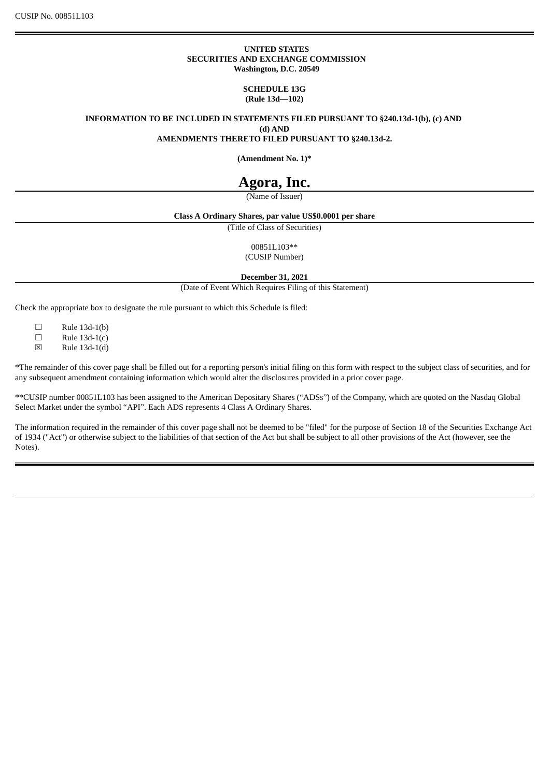#### **UNITED STATES SECURITIES AND EXCHANGE COMMISSION Washington, D.C. 20549**

**SCHEDULE 13G (Rule 13d—102)**

**INFORMATION TO BE INCLUDED IN STATEMENTS FILED PURSUANT TO §240.13d-1(b), (c) AND (d) AND**

**AMENDMENTS THERETO FILED PURSUANT TO §240.13d-2.**

**(Amendment No. 1)\***

# **Agora, Inc.**

(Name of Issuer)

#### **Class A Ordinary Shares, par value US\$0.0001 per share**

(Title of Class of Securities)

00851L103\*\*

(CUSIP Number)

**December 31, 2021**

(Date of Event Which Requires Filing of this Statement)

Check the appropriate box to designate the rule pursuant to which this Schedule is filed:

 $\Box$  Rule 13d-1(b)<br> $\Box$  Rule 13d-1(c)

 $\Box$  Rule 13d-1(c)<br>  $\boxtimes$  Rule 13d-1(d)

Rule  $13d-1(d)$ 

\*The remainder of this cover page shall be filled out for a reporting person's initial filing on this form with respect to the subject class of securities, and for any subsequent amendment containing information which would alter the disclosures provided in a prior cover page.

\*\*CUSIP number 00851L103 has been assigned to the American Depositary Shares ("ADSs") of the Company, which are quoted on the Nasdaq Global Select Market under the symbol "API". Each ADS represents 4 Class A Ordinary Shares.

The information required in the remainder of this cover page shall not be deemed to be "filed" for the purpose of Section 18 of the Securities Exchange Act of 1934 ("Act") or otherwise subject to the liabilities of that section of the Act but shall be subject to all other provisions of the Act (however, see the Notes).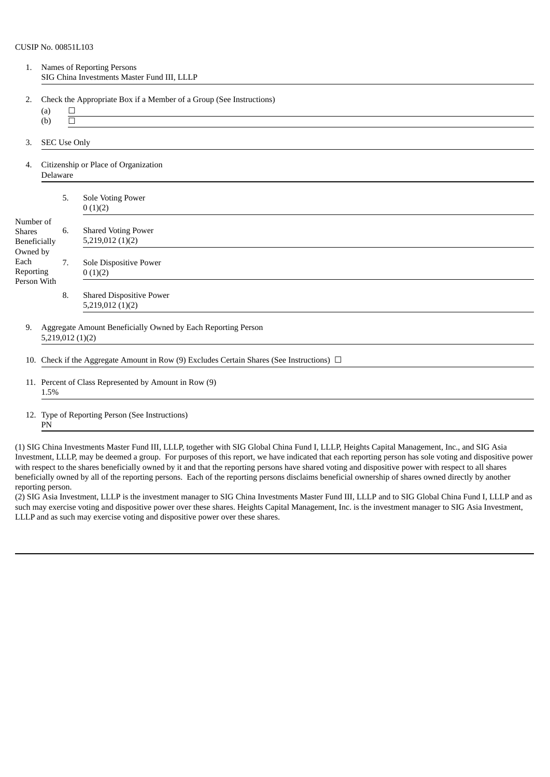| 1.                                                | Names of Reporting Persons<br>SIG China Investments Master Fund III, LLLP                      |                                                               |                                                                                                                                    |  |
|---------------------------------------------------|------------------------------------------------------------------------------------------------|---------------------------------------------------------------|------------------------------------------------------------------------------------------------------------------------------------|--|
| 2.                                                | (a)                                                                                            | $\Box$                                                        | Check the Appropriate Box if a Member of a Group (See Instructions)<br><u> 1989 - Johann Stoff, Amerikaansk politiker († 1908)</u> |  |
|                                                   | (b)                                                                                            | $\Box$                                                        |                                                                                                                                    |  |
| 3.                                                |                                                                                                | <b>SEC Use Only</b>                                           |                                                                                                                                    |  |
| 4.                                                | Citizenship or Place of Organization<br>Delaware                                               |                                                               |                                                                                                                                    |  |
|                                                   |                                                                                                | 5.                                                            | Sole Voting Power<br>0(1)(2)                                                                                                       |  |
| Number of<br><b>Shares</b><br><b>Beneficially</b> |                                                                                                | 6.                                                            | <b>Shared Voting Power</b><br>5,219,012 (1)(2)                                                                                     |  |
| Owned by<br>Each<br>Reporting<br>Person With      |                                                                                                | 7.                                                            | Sole Dispositive Power<br>0(1)(2)                                                                                                  |  |
|                                                   |                                                                                                | 8.                                                            | <b>Shared Dispositive Power</b><br>5,219,012(1)(2)                                                                                 |  |
| 9.                                                | Aggregate Amount Beneficially Owned by Each Reporting Person<br>5,219,012(1)(2)                |                                                               |                                                                                                                                    |  |
|                                                   | 10. Check if the Aggregate Amount in Row (9) Excludes Certain Shares (See Instructions) $\Box$ |                                                               |                                                                                                                                    |  |
|                                                   |                                                                                                | 11. Percent of Class Represented by Amount in Row (9)<br>1.5% |                                                                                                                                    |  |
|                                                   |                                                                                                |                                                               | 12. Type of Reporting Person (See Instructions)                                                                                    |  |

## PN

(1) SIG China Investments Master Fund III, LLLP, together with SIG Global China Fund I, LLLP, Heights Capital Management, Inc., and SIG Asia Investment, LLLP, may be deemed a group. For purposes of this report, we have indicated that each reporting person has sole voting and dispositive power with respect to the shares beneficially owned by it and that the reporting persons have shared voting and dispositive power with respect to all shares beneficially owned by all of the reporting persons. Each of the reporting persons disclaims beneficial ownership of shares owned directly by another reporting person.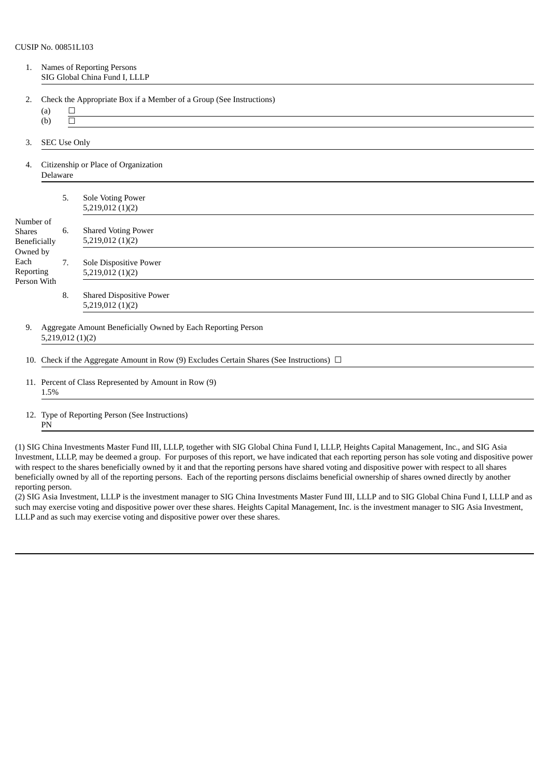| 1.                                                                                                |                                                                                                | Names of Reporting Persons<br>SIG Global China Fund I, LLLP |                                                                     |  |
|---------------------------------------------------------------------------------------------------|------------------------------------------------------------------------------------------------|-------------------------------------------------------------|---------------------------------------------------------------------|--|
| 2.                                                                                                | (a)<br>(b)                                                                                     | $\Box$<br>$\Box$                                            | Check the Appropriate Box if a Member of a Group (See Instructions) |  |
| 3.                                                                                                | <b>SEC Use Only</b>                                                                            |                                                             |                                                                     |  |
| 4.                                                                                                | Citizenship or Place of Organization<br>Delaware                                               |                                                             |                                                                     |  |
|                                                                                                   |                                                                                                | 5.                                                          | <b>Sole Voting Power</b><br>5,219,012(1)(2)                         |  |
| Number of<br><b>Shares</b><br><b>Beneficially</b><br>Owned by<br>Each<br>Reporting<br>Person With |                                                                                                | 6.                                                          | <b>Shared Voting Power</b><br>5,219,012 (1)(2)                      |  |
|                                                                                                   |                                                                                                | 7.                                                          | Sole Dispositive Power<br>5,219,012(1)(2)                           |  |
|                                                                                                   |                                                                                                | 8.                                                          | <b>Shared Dispositive Power</b><br>5,219,012(1)(2)                  |  |
| 9.                                                                                                | Aggregate Amount Beneficially Owned by Each Reporting Person<br>5,219,012(1)(2)                |                                                             |                                                                     |  |
|                                                                                                   | 10. Check if the Aggregate Amount in Row (9) Excludes Certain Shares (See Instructions) $\Box$ |                                                             |                                                                     |  |
|                                                                                                   | 11. Percent of Class Represented by Amount in Row (9)<br>1.5%                                  |                                                             |                                                                     |  |
|                                                                                                   | 12. Type of Reporting Person (See Instructions)                                                |                                                             |                                                                     |  |

# PN

(1) SIG China Investments Master Fund III, LLLP, together with SIG Global China Fund I, LLLP, Heights Capital Management, Inc., and SIG Asia Investment, LLLP, may be deemed a group. For purposes of this report, we have indicated that each reporting person has sole voting and dispositive power with respect to the shares beneficially owned by it and that the reporting persons have shared voting and dispositive power with respect to all shares beneficially owned by all of the reporting persons. Each of the reporting persons disclaims beneficial ownership of shares owned directly by another reporting person.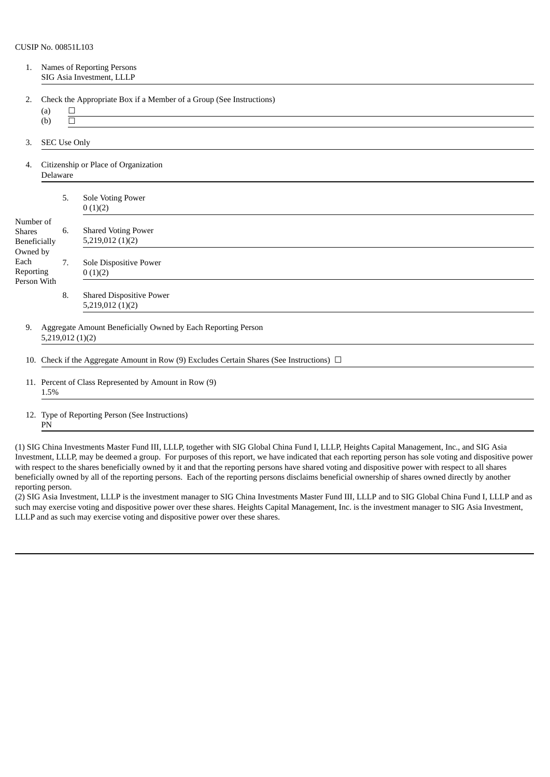| 1.                                                | Names of Reporting Persons<br>SIG Asia Investment, LLLP                                        |                                                               |                                                                                                                                  |  |
|---------------------------------------------------|------------------------------------------------------------------------------------------------|---------------------------------------------------------------|----------------------------------------------------------------------------------------------------------------------------------|--|
| 2.                                                | (a)                                                                                            | $\Box$                                                        | Check the Appropriate Box if a Member of a Group (See Instructions)<br><u> 1989 - Johann Barnett, fransk politiker (d. 1989)</u> |  |
|                                                   | (b)                                                                                            | $\Box$                                                        |                                                                                                                                  |  |
| 3.                                                |                                                                                                | <b>SEC Use Only</b>                                           |                                                                                                                                  |  |
| 4.                                                | Citizenship or Place of Organization<br>Delaware                                               |                                                               |                                                                                                                                  |  |
|                                                   |                                                                                                | 5.                                                            | Sole Voting Power<br>0(1)(2)                                                                                                     |  |
| Number of<br><b>Shares</b><br><b>Beneficially</b> |                                                                                                | 6.                                                            | <b>Shared Voting Power</b><br>5,219,012 (1)(2)                                                                                   |  |
| Owned by<br>Each<br>Reporting                     |                                                                                                | 7.                                                            | Sole Dispositive Power<br>0(1)(2)                                                                                                |  |
| Person With                                       |                                                                                                | 8.                                                            | <b>Shared Dispositive Power</b><br>5,219,012(1)(2)                                                                               |  |
| 9.                                                | Aggregate Amount Beneficially Owned by Each Reporting Person<br>5,219,012(1)(2)                |                                                               |                                                                                                                                  |  |
|                                                   | 10. Check if the Aggregate Amount in Row (9) Excludes Certain Shares (See Instructions) $\Box$ |                                                               |                                                                                                                                  |  |
|                                                   |                                                                                                | 11. Percent of Class Represented by Amount in Row (9)<br>1.5% |                                                                                                                                  |  |
|                                                   |                                                                                                |                                                               | 12. Type of Reporting Person (See Instructions)                                                                                  |  |

## PN

(1) SIG China Investments Master Fund III, LLLP, together with SIG Global China Fund I, LLLP, Heights Capital Management, Inc., and SIG Asia Investment, LLLP, may be deemed a group. For purposes of this report, we have indicated that each reporting person has sole voting and dispositive power with respect to the shares beneficially owned by it and that the reporting persons have shared voting and dispositive power with respect to all shares beneficially owned by all of the reporting persons. Each of the reporting persons disclaims beneficial ownership of shares owned directly by another reporting person.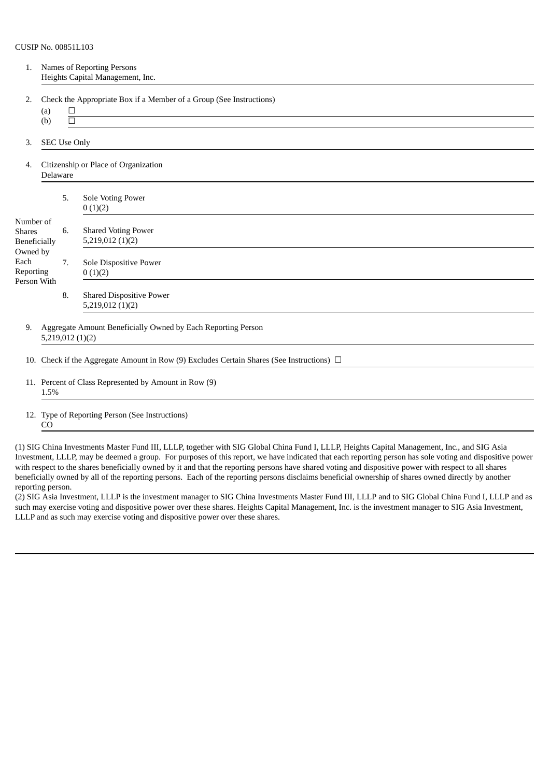| 1.                                                            | Names of Reporting Persons<br>Heights Capital Management, Inc.                                 |                  |                                                                                                                                                                                              |  |  |
|---------------------------------------------------------------|------------------------------------------------------------------------------------------------|------------------|----------------------------------------------------------------------------------------------------------------------------------------------------------------------------------------------|--|--|
| 2.                                                            | (a)                                                                                            | $\Box$           | Check the Appropriate Box if a Member of a Group (See Instructions)<br><u> 1980 - Johann Barn, mars ann an t-Amhain Aonaich an t-Aonaich an t-Aonaich an t-Aonaich an t-Aonaich an t-Aon</u> |  |  |
|                                                               | (b)                                                                                            | $\Box$           |                                                                                                                                                                                              |  |  |
| 3.                                                            | <b>SEC Use Only</b>                                                                            |                  |                                                                                                                                                                                              |  |  |
| 4.                                                            | Citizenship or Place of Organization<br>Delaware                                               |                  |                                                                                                                                                                                              |  |  |
|                                                               |                                                                                                | 5.               | Sole Voting Power<br>0(1)(2)                                                                                                                                                                 |  |  |
| Number of<br><b>Shares</b><br><b>Beneficially</b>             |                                                                                                | 6.               | <b>Shared Voting Power</b><br>5,219,012 (1)(2)                                                                                                                                               |  |  |
| Owned by<br>Each<br>Reporting                                 |                                                                                                | 7.               | Sole Dispositive Power<br>0(1)(2)                                                                                                                                                            |  |  |
| Person With                                                   |                                                                                                | 8.               | <b>Shared Dispositive Power</b><br>5,219,012(1)(2)                                                                                                                                           |  |  |
| 9.                                                            |                                                                                                | 5,219,012 (1)(2) | Aggregate Amount Beneficially Owned by Each Reporting Person                                                                                                                                 |  |  |
|                                                               | 10. Check if the Aggregate Amount in Row (9) Excludes Certain Shares (See Instructions) $\Box$ |                  |                                                                                                                                                                                              |  |  |
| 11. Percent of Class Represented by Amount in Row (9)<br>1.5% |                                                                                                |                  |                                                                                                                                                                                              |  |  |
|                                                               |                                                                                                |                  |                                                                                                                                                                                              |  |  |

12. Type of Reporting Person (See Instructions) CO

(1) SIG China Investments Master Fund III, LLLP, together with SIG Global China Fund I, LLLP, Heights Capital Management, Inc., and SIG Asia Investment, LLLP, may be deemed a group. For purposes of this report, we have indicated that each reporting person has sole voting and dispositive power with respect to the shares beneficially owned by it and that the reporting persons have shared voting and dispositive power with respect to all shares beneficially owned by all of the reporting persons. Each of the reporting persons disclaims beneficial ownership of shares owned directly by another reporting person.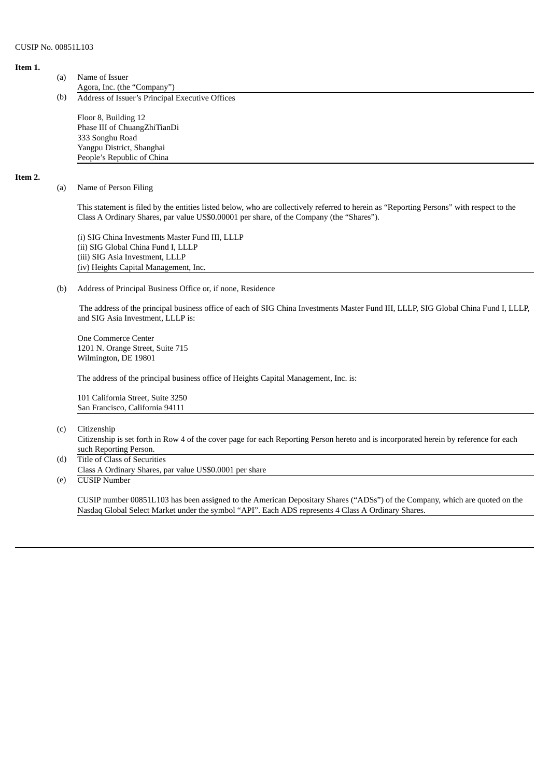#### **Item 1.**

- (a) Name of Issuer Agora, Inc. (the "Company")
- (b) Address of Issuer's Principal Executive Offices

Floor 8, Building 12 Phase III of ChuangZhiTianDi 333 Songhu Road Yangpu District, Shanghai People's Republic of China

#### **Item 2.**

#### (a) Name of Person Filing

This statement is filed by the entities listed below, who are collectively referred to herein as "Reporting Persons" with respect to the Class A Ordinary Shares, par value US\$0.00001 per share, of the Company (the "Shares").

(i) SIG China Investments Master Fund III, LLLP (ii) SIG Global China Fund I, LLLP (iii) SIG Asia Investment, LLLP (iv) Heights Capital Management, Inc.

#### (b) Address of Principal Business Office or, if none, Residence

The address of the principal business office of each of SIG China Investments Master Fund III, LLLP, SIG Global China Fund I, LLLP, and SIG Asia Investment, LLLP is:

One Commerce Center 1201 N. Orange Street, Suite 715 Wilmington, DE 19801

The address of the principal business office of Heights Capital Management, Inc. is:

101 California Street, Suite 3250 San Francisco, California 94111

(c) Citizenship

Citizenship is set forth in Row 4 of the cover page for each Reporting Person hereto and is incorporated herein by reference for each such Reporting Person.

(d) Title of Class of Securities Class A Ordinary Shares, par value US\$0.0001 per share

(e) CUSIP Number

CUSIP number 00851L103 has been assigned to the American Depositary Shares ("ADSs") of the Company, which are quoted on the Nasdaq Global Select Market under the symbol "API". Each ADS represents 4 Class A Ordinary Shares.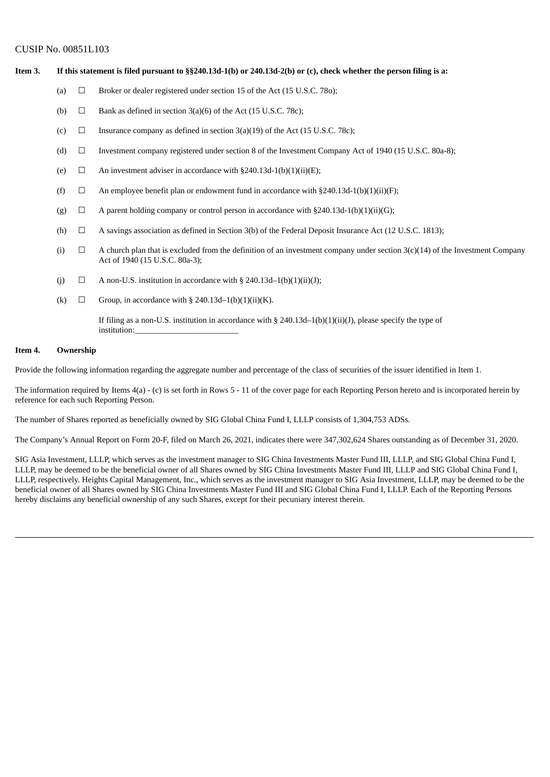Item 3. If this statement is filed pursuant to §§240.13d-1(b) or 240.13d-2(b) or (c), check whether the person filing is a:

- (a)  $\Box$  Broker or dealer registered under section 15 of the Act (15 U.S.C. 780):
- (b)  $\Box$  Bank as defined in section 3(a)(6) of the Act (15 U.S.C. 78c);
- (c)  $\Box$  Insurance company as defined in section 3(a)(19) of the Act (15 U.S.C. 78c);
- (d)  $\Box$  Investment company registered under section 8 of the Investment Company Act of 1940 (15 U.S.C. 80a-8);
- (e)  $\Box$  An investment adviser in accordance with §240.13d-1(b)(1)(ii)(E);
- (f)  $\Box$  An employee benefit plan or endowment fund in accordance with §240.13d-1(b)(1)(ii)(F);
- (g)  $\Box$  A parent holding company or control person in accordance with §240.13d-1(b)(1)(ii)(G);
- (h)  $\Box$  A savings association as defined in Section 3(b) of the Federal Deposit Insurance Act (12 U.S.C. 1813);
- (i)  $\Box$  A church plan that is excluded from the definition of an investment company under section 3(c)(14) of the Investment Company Act of 1940 (15 U.S.C. 80a-3);
- (i)  $\Box$  A non-U.S. institution in accordance with § 240.13d–1(b)(1)(ii)(J);
- (k)  $\Box$  Group, in accordance with § 240.13d–1(b)(1)(ii)(K).

If filing as a non-U.S. institution in accordance with § 240.13d–1(b)(1)(ii)(J), please specify the type of institution:

### **Item 4. Ownership**

Provide the following information regarding the aggregate number and percentage of the class of securities of the issuer identified in Item 1.

The information required by Items 4(a) - (c) is set forth in Rows 5 - 11 of the cover page for each Reporting Person hereto and is incorporated herein by reference for each such Reporting Person.

The number of Shares reported as beneficially owned by SIG Global China Fund I, LLLP consists of 1,304,753 ADSs.

The Company's Annual Report on Form 20-F, filed on March 26, 2021, indicates there were 347,302,624 Shares outstanding as of December 31, 2020.

SIG Asia Investment, LLLP, which serves as the investment manager to SIG China Investments Master Fund III, LLLP, and SIG Global China Fund I, LLLP, may be deemed to be the beneficial owner of all Shares owned by SIG China Investments Master Fund III, LLLP and SIG Global China Fund I, LLLP, respectively. Heights Capital Management, Inc., which serves as the investment manager to SIG Asia Investment, LLLP, may be deemed to be the beneficial owner of all Shares owned by SIG China Investments Master Fund III and SIG Global China Fund I, LLLP. Each of the Reporting Persons hereby disclaims any beneficial ownership of any such Shares, except for their pecuniary interest therein.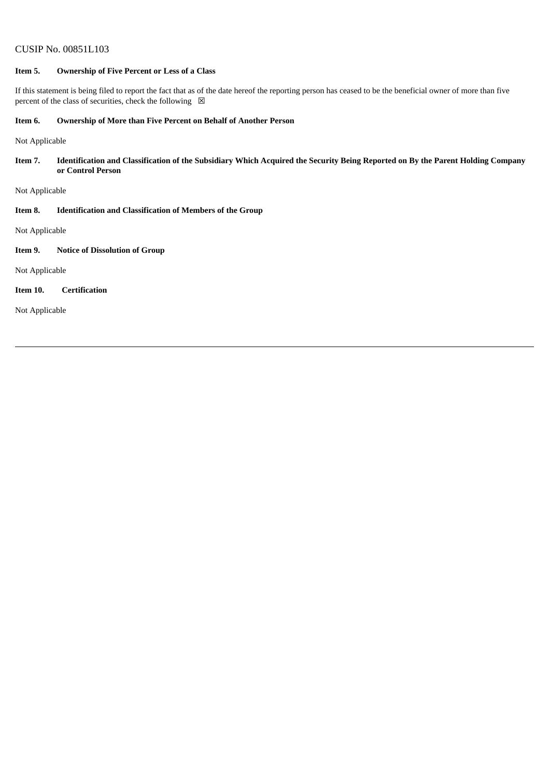## **Item 5. Ownership of Five Percent or Less of a Class**

If this statement is being filed to report the fact that as of the date hereof the reporting person has ceased to be the beneficial owner of more than five percent of the class of securities, check the following  $\boxtimes$ 

#### **Item 6. Ownership of More than Five Percent on Behalf of Another Person**

Not Applicable

Item 7. Identification and Classification of the Subsidiary Which Acquired the Security Being Reported on By the Parent Holding Company **or Control Person**

Not Applicable

**Item 8. Identification and Classification of Members of the Group**

Not Applicable

### **Item 9. Notice of Dissolution of Group**

Not Applicable

#### **Item 10. Certification**

Not Applicable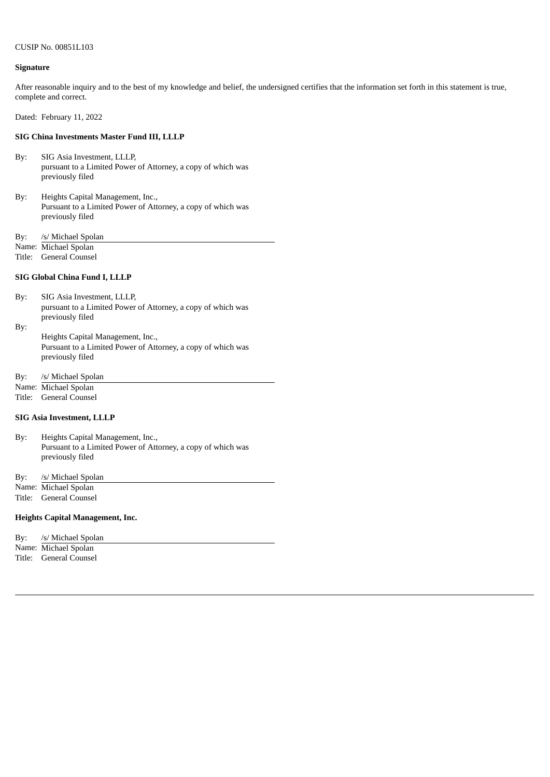#### **Signature**

After reasonable inquiry and to the best of my knowledge and belief, the undersigned certifies that the information set forth in this statement is true, complete and correct.

Dated: February 11, 2022

#### **SIG China Investments Master Fund III, LLLP**

- By: SIG Asia Investment, LLLP, pursuant to a Limited Power of Attorney, a copy of which was previously filed
- By: Heights Capital Management, Inc., Pursuant to a Limited Power of Attorney, a copy of which was previously filed
- By: /s/ Michael Spolan
- Name: Michael Spolan
- Title: General Counsel

## **SIG Global China Fund I, LLLP**

By: SIG Asia Investment, LLLP, pursuant to a Limited Power of Attorney, a copy of which was previously filed

By: Heights Capital Management, Inc., Pursuant to a Limited Power of Attorney, a copy of which was previously filed

By: /s/ Michael Spolan

Name: Michael Spolan

Title: General Counsel

#### **SIG Asia Investment, LLLP**

By: Heights Capital Management, Inc., Pursuant to a Limited Power of Attorney, a copy of which was previously filed

By: /s/ Michael Spolan

Name: Michael Spolan

Title: General Counsel

#### **Heights Capital Management, Inc.**

| By: | /s/ Michael Spolan   |
|-----|----------------------|
|     | Name: Michael Spolan |

Title: General Counsel